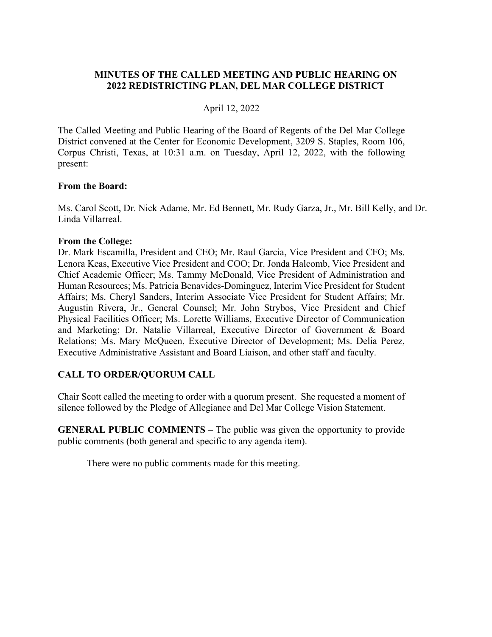# **MINUTES OF THE CALLED MEETING AND PUBLIC HEARING ON 2022 REDISTRICTING PLAN, DEL MAR COLLEGE DISTRICT**

# April 12, 2022

The Called Meeting and Public Hearing of the Board of Regents of the Del Mar College District convened at the Center for Economic Development, 3209 S. Staples, Room 106, Corpus Christi, Texas, at 10:31 a.m. on Tuesday, April 12, 2022, with the following present:

### **From the Board:**

Ms. Carol Scott, Dr. Nick Adame, Mr. Ed Bennett, Mr. Rudy Garza, Jr., Mr. Bill Kelly, and Dr. Linda Villarreal.

#### **From the College:**

Dr. Mark Escamilla, President and CEO; Mr. Raul Garcia, Vice President and CFO; Ms. Lenora Keas, Executive Vice President and COO; Dr. Jonda Halcomb, Vice President and Chief Academic Officer; Ms. Tammy McDonald, Vice President of Administration and Human Resources; Ms. Patricia Benavides-Dominguez, Interim Vice President for Student Affairs; Ms. Cheryl Sanders, Interim Associate Vice President for Student Affairs; Mr. Augustin Rivera, Jr., General Counsel; Mr. John Strybos, Vice President and Chief Physical Facilities Officer; Ms. Lorette Williams, Executive Director of Communication and Marketing; Dr. Natalie Villarreal, Executive Director of Government & Board Relations; Ms. Mary McQueen, Executive Director of Development; Ms. Delia Perez, Executive Administrative Assistant and Board Liaison, and other staff and faculty.

### **CALL TO ORDER/QUORUM CALL**

Chair Scott called the meeting to order with a quorum present. She requested a moment of silence followed by the Pledge of Allegiance and Del Mar College Vision Statement.

**GENERAL PUBLIC COMMENTS** – The public was given the opportunity to provide public comments (both general and specific to any agenda item).

There were no public comments made for this meeting.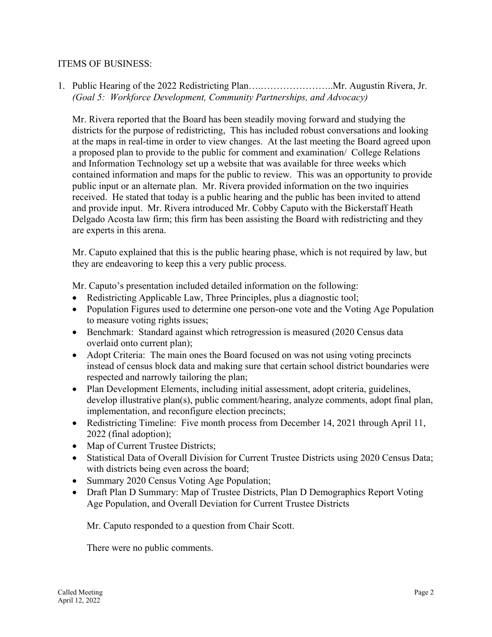## ITEMS OF BUSINESS:

1. Public Hearing of the 2022 Redistricting Plan….…………………..Mr. Augustin Rivera, Jr. *(Goal 5: Workforce Development, Community Partnerships, and Advocacy)* 

Mr. Rivera reported that the Board has been steadily moving forward and studying the districts for the purpose of redistricting, This has included robust conversations and looking at the maps in real-time in order to view changes. At the last meeting the Board agreed upon a proposed plan to provide to the public for comment and examination/ College Relations and Information Technology set up a website that was available for three weeks which contained information and maps for the public to review. This was an opportunity to provide public input or an alternate plan. Mr. Rivera provided information on the two inquiries received. He stated that today is a public hearing and the public has been invited to attend and provide input. Mr. Rivera introduced Mr. Cobby Caputo with the Bickerstaff Heath Delgado Acosta law firm; this firm has been assisting the Board with redistricting and they are experts in this arena.

Mr. Caputo explained that this is the public hearing phase, which is not required by law, but they are endeavoring to keep this a very public process.

Mr. Caputo's presentation included detailed information on the following:

- Redistricting Applicable Law, Three Principles, plus a diagnostic tool;
- Population Figures used to determine one person-one vote and the Voting Age Population to measure voting rights issues;
- Benchmark: Standard against which retrogression is measured (2020 Census data overlaid onto current plan);
- Adopt Criteria: The main ones the Board focused on was not using voting precincts instead of census block data and making sure that certain school district boundaries were respected and narrowly tailoring the plan;
- Plan Development Elements, including initial assessment, adopt criteria, guidelines, develop illustrative plan(s), public comment/hearing, analyze comments, adopt final plan, implementation, and reconfigure election precincts;
- Redistricting Timeline: Five month process from December 14, 2021 through April 11, 2022 (final adoption);
- Map of Current Trustee Districts;
- Statistical Data of Overall Division for Current Trustee Districts using 2020 Census Data; with districts being even across the board;
- Summary 2020 Census Voting Age Population;
- Draft Plan D Summary: Map of Trustee Districts, Plan D Demographics Report Voting Age Population, and Overall Deviation for Current Trustee Districts

Mr. Caputo responded to a question from Chair Scott.

There were no public comments.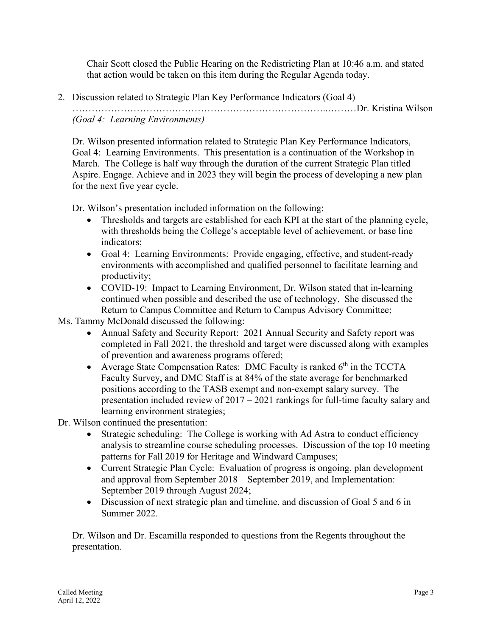Chair Scott closed the Public Hearing on the Redistricting Plan at 10:46 a.m. and stated that action would be taken on this item during the Regular Agenda today.

2. Discussion related to Strategic Plan Key Performance Indicators (Goal 4)

……………………………………………………………………..………Dr. Kristina Wilson *(Goal 4: Learning Environments)* 

Dr. Wilson presented information related to Strategic Plan Key Performance Indicators, Goal 4: Learning Environments. This presentation is a continuation of the Workshop in March. The College is half way through the duration of the current Strategic Plan titled Aspire. Engage. Achieve and in 2023 they will begin the process of developing a new plan for the next five year cycle.

Dr. Wilson's presentation included information on the following:

- Thresholds and targets are established for each KPI at the start of the planning cycle, with thresholds being the College's acceptable level of achievement, or base line indicators;
- Goal 4: Learning Environments: Provide engaging, effective, and student-ready environments with accomplished and qualified personnel to facilitate learning and productivity;
- COVID-19: Impact to Learning Environment, Dr. Wilson stated that in-learning continued when possible and described the use of technology. She discussed the Return to Campus Committee and Return to Campus Advisory Committee;

Ms. Tammy McDonald discussed the following:

- Annual Safety and Security Report: 2021 Annual Security and Safety report was completed in Fall 2021, the threshold and target were discussed along with examples of prevention and awareness programs offered;
- Average State Compensation Rates: DMC Faculty is ranked  $6<sup>th</sup>$  in the TCCTA Faculty Survey, and DMC Staff is at 84% of the state average for benchmarked positions according to the TASB exempt and non-exempt salary survey. The presentation included review of 2017 – 2021 rankings for full-time faculty salary and learning environment strategies;
- Dr. Wilson continued the presentation:
	- Strategic scheduling: The College is working with Ad Astra to conduct efficiency analysis to streamline course scheduling processes. Discussion of the top 10 meeting patterns for Fall 2019 for Heritage and Windward Campuses;
	- Current Strategic Plan Cycle: Evaluation of progress is ongoing, plan development and approval from September 2018 – September 2019, and Implementation: September 2019 through August 2024;
	- Discussion of next strategic plan and timeline, and discussion of Goal 5 and 6 in Summer 2022.

Dr. Wilson and Dr. Escamilla responded to questions from the Regents throughout the presentation.